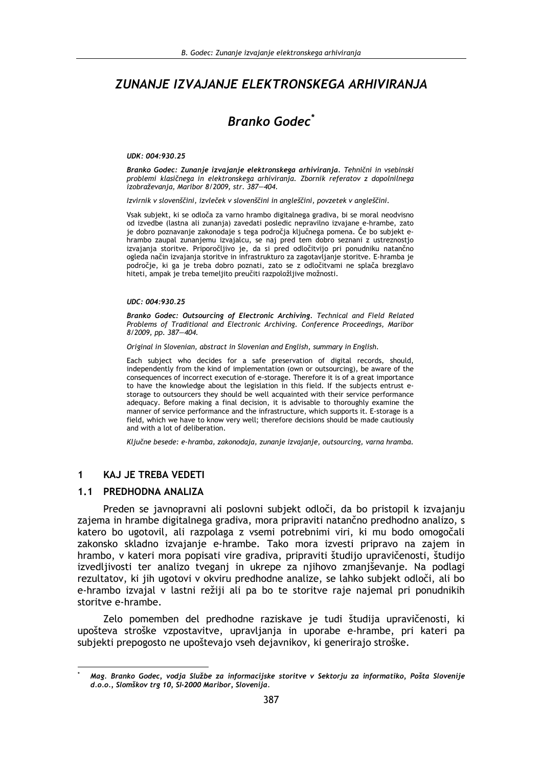# ZUNANJE IZVAJANJE ELEKTRONSKEGA ARHIVIRANJA

# **Branko Godec<sup>\*</sup>**

#### UDK: 004:930.25

Branko Godec: Zunanje izvajanje elektronskega arhiviranja. Tehnični in vsebinski problemi klasičnega in elektronskega arhiviranja. Zbornik referatov z dopolnilnega izobraževanja, Maribor 8/2009, str. 387-404.

Izvirnik v slovenščini, izvleček v slovenščini in angleščini, povzetek v angleščini.

Vsak subjekt, ki se odloča za varno hrambo digitalnega gradiva, bi se moral neodvisno od izvedbe (lastna ali zunanja) zavedati posledic nepravilno izvajane e-hrambe, zato je dobro poznavanje zakonodaje s tega področja ključnega pomena. Če bo subjekt ehrambo zaupal zunanjemu izvajalcu, se naj pred tem dobro seznani z ustreznostjo izvajanja storitve. Priporočljivo je, da si pred odločitvijo pri ponudniku natančno ogleda način izvajanja storitve in infrastrukturo za zagotavljanje storitve. E-hramba je področje, ki ga je treba dobro poznati, zato se z odločitvami ne splača brezglavo hiteti, ampak je treba temeljito preučiti razpoložljive možnosti.

#### UDC: 004:930.25

Branko Godec: Outsourcing of Electronic Archiving. Technical and Field Related Problems of Traditional and Electronic Archiving. Conference Proceedings, Maribor 8/2009, pp. 387-404.

Original in Slovenian, abstract in Slovenian and English, summary in English.

Each subject who decides for a safe preservation of digital records, should, independently from the kind of implementation (own or outsourcing), be aware of the consequences of incorrect execution of e-storage. Therefore it is of a great importance to have the knowledge about the legislation in this field. If the subjects entrust estorage to outsourcers they should be well acquainted with their service performance adequacy. Before making a final decision, it is advisable to thoroughly examine the manner of service performance and the infrastructure, which supports it. E-storage is a field, which we have to know very well; therefore decisions should be made cautiously and with a lot of deliberation.

Ključne besede: e-hramba, zakonodaja, zunanje izvajanje, outsourcing, varna hramba.

#### **KAJ JE TREBA VEDETI**  $\blacktriangleleft$

#### 1.1 PREDHODNA ANALIZA

Preden se javnopravni ali poslovni subjekt odloči, da bo pristopil k izvajanju zajema in hrambe digitalnega gradiva, mora pripraviti natančno predhodno analizo. s katero bo ugotovil, ali razpolaga z vsemi potrebnimi viri, ki mu bodo omogočali zakonsko skladno izvajanje e-hrambe. Tako mora izvesti pripravo na zajem in hrambo, v kateri mora popisati vire gradiva, pripraviti študijo upravičenosti, študijo izvedlijvosti ter analizo tvegani in ukrepe za nijhovo zmaniševanie. Na podlagi rezultatov, ki jih ugotovi v okviru predhodne analize, se lahko subjekt odloči, ali bo e-hrambo izvajal v lastni režiji ali pa bo te storitve raje najemal pri ponudnikih storitve e-hrambe.

Zelo pomemben del predhodne raziskave je tudi študija upravičenosti, ki upošteva stroške vzpostavitve, upravljanja in uporabe e-hrambe, pri kateri pa subjekti prepogosto ne upoštevajo vseh dejavnikov, ki generirajo stroške.

Mag. Branko Godec, vodja Službe za informacijske storitve v Sektorju za informatiko, Pošta Slovenije d.o.o., Slomškov trg 10, SI-2000 Maribor, Slovenija.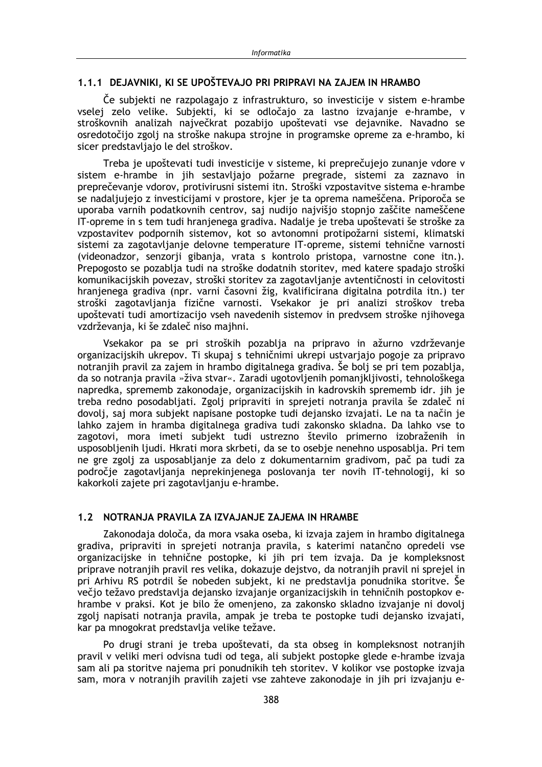#### 1.1.1 DEJAVNIKI. KI SE UPOŠTEVAJO PRI PRIPRAVI NA ZAJEM IN HRAMBO

Če subiekti ne razpolagajo z infrastrukturo, so investicije v sistem e-hrambe vselej zelo velike. Subjekti, ki se odločajo za lastno izvajanje e-hrambe, v stroškovnih analizah največkrat pozabijo upoštevati vse dejavnike. Navadno se osredotočijo zgolj na stroške nakupa strojne in programske opreme za e-hrambo, ki sicer predstavljajo le del stroškov.

Treba je upoštevati tudi investicije v sisteme, ki preprečujejo zunanje vdore v sistem e-hrambe in jih sestavljajo požarne pregrade, sistemi za zaznavo in preprečevanje vdorov, protivirusni sistemi itn. Stroški vzpostavitve sistema e-hrambe se nadaljujejo z investicijami v prostore, kjer je ta oprema nameščena. Priporoča se uporaba varnih podatkovnih centrov, saj nudijo najvišjo stopnjo zaščite nameščene IT-opreme in s tem tudi hranjenega gradiva. Nadalje je treba upoštevati še stroške za vzpostavitev podpornih sistemov, kot so avtonomni protipožarni sistemi, klimatski sistemi za zagotavljanje delovne temperature IT-opreme, sistemi tehnične varnosti (videonadzor, senzorii gibania, vrata s kontrolo pristopa, varnostne cone itn.). Prepogosto se pozablja tudi na stroške dodatnih storitev, med katere spadajo stroški komunikacijskih povezav, stroški storitev za zagotavljanje avtentičnosti in celovitosti hranjenega gradiva (npr. varni časovni žig, kvalificirana digitalna potrdila itn.) ter stroški zagotavljanja fizične varnosti. Vsekakor je pri analizi stroškov treba upoštevati tudi amortizacijo vseh navedenih sistemov in predvsem stroške njihovega vzdrževanja, ki še zdaleč niso majhni.

Vsekakor pa se pri stroških pozablja na pripravo in ažurno vzdrževanje organizacijskih ukrepov. Ti skupaj s tehničnimi ukrepi ustvariajo pogoje za pripravo notranjih pravil za zajem in hrambo digitalnega gradiva. Še bolj se pri tem pozablja, da so notranja pravila »živa stvar«. Zaradi ugotovljenih pomanjkljivosti, tehnološkega napredka, sprememb zakonodaje, organizacijskih in kadrovskih sprememb idr. jih je treba redno posodabliati. Zgoli pripraviti in sprejeti notrania pravila še zdaleč ni dovolj, saj mora subjekt napisane postopke tudi dejansko izvajati. Le na ta način je lahko zajem in hramba digitalnega gradiva tudi zakonsko skladna. Da lahko vse to zagotovi, mora imeti subjekt tudi ustrezno število primerno izobraženih in usposobljenih ljudi. Hkrati mora skrbeti, da se to osebje nenehno usposablja. Pri tem ne gre zgoli za usposablianie za delo z dokumentarnim gradivom, pač pa tudi za področje zagotavljanja neprekinjenega poslovanja ter novih IT-tehnologij, ki so kakorkoli zajete pri zagotavljanju e-hrambe.

## 1.2 NOTRANJA PRAVILA ZA IZVAJANJE ZAJEMA IN HRAMBE

Zakonodaja določa, da mora vsaka oseba, ki izvaja zajem in hrambo digitalnega gradiva, pripraviti in sprejeti notranja pravila, s katerimi natančno opredeli vse organizacijske in tehnične postopke, ki jih pri tem izvaja. Da je kompleksnost priprave notranjih pravil res velika, dokazuje dejstvo, da notranjih pravil ni sprejel in pri Arhivu RS potrdil še nobeden subjekt, ki ne predstavlja ponudnika storitve. Še večio težavo predstavlja dejansko izvajanje organizacijskih in tehničnih postopkov ehrambe v praksi. Kot je bilo že omenjeno, za zakonsko skladno izvajanje ni dovolj zgolj napisati notranja pravila, ampak je treba te postopke tudi dejansko izvajati, kar pa mnogokrat predstavlja velike težave.

Po drugi strani je treba upoštevati, da sta obseg in kompleksnost notranjih pravil v veliki meri odvisna tudi od tega, ali subjekt postopke glede e-hrambe izvaja sam ali pa storitve najema pri ponudnikih teh storitev. V kolikor vse postopke izvaja sam, mora v notranjih pravilih zajeti vse zahteve zakonodaje in jih pri izvajanju e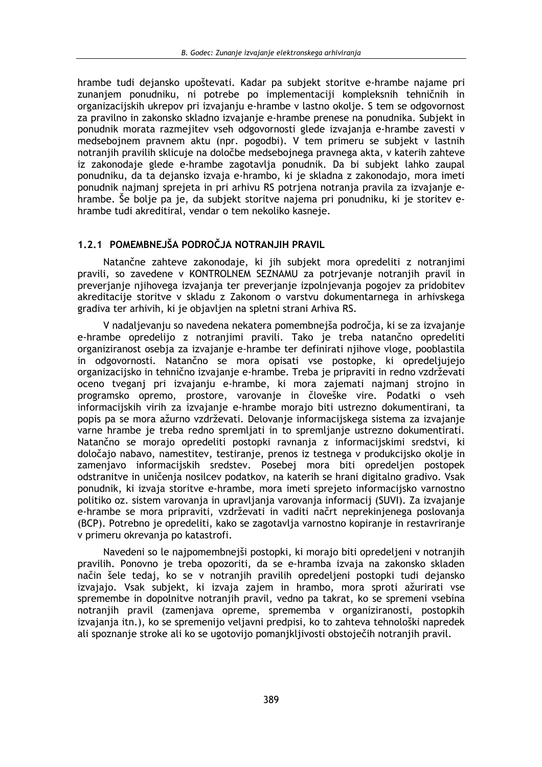hrambe tudi dejansko upoštevati. Kadar pa subjekt storitve e-hrambe najame pri zunanjem ponudniku, ni potrebe po implementaciji kompleksnih tehničnih in organizacijskih ukrepov pri izvajanju e-hrambe v lastno okolje. S tem se odgovornost za pravilno in zakonsko skladno izvajanje e-hrambe prenese na ponudnika. Subjekt in ponudnik morata razmejitev vseh odgovornosti glede izvajanja e-hrambe zavesti v medsebojnem pravnem aktu (npr. pogodbi). V tem primeru se subjekt v lastnih notranjih pravilih sklicuje na določbe medsebojnega pravnega akta, v katerih zahteve iz zakonodaje glede e-hrambe zagotavlja ponudnik. Da bi subjekt lahko zaupal ponudniku, da ta dejansko izvaja e-hrambo, ki je skladna z zakonodajo, mora imeti ponudnik najmanj sprejeta in pri arhivu RS potrjena notranja pravila za izvajanje ehrambe. Se bolje pa je, da subjekt storitve najema pri ponudniku, ki je storitev ehrambe tudi akreditiral, vendar o tem nekoliko kasneje.

## 1.2.1 POMEMBNEJŠA PODROČJA NOTRANJIH PRAVIL

Natančne zahteve zakonodaje, ki jih subjekt mora opredeliti z notranjimi pravili, so zavedene v KONTROLNEM SEZNAMU za potrjevanje notranjih pravil in preverianie niihovega izvajanja ter preverianje izpolnjevanja pogojev za pridobitev akreditacije storitve v skladu z Zakonom o varstvu dokumentarnega in arhivskega gradiva ter arhivih, ki je objavljen na spletni strani Arhiva RS.

V nadaljevanju so navedena nekatera pomembnejša področja, ki se za izvajanje e-hrambe opredelijo z notranjimi pravili. Tako je treba natančno opredeliti organiziranost osebia za izvajanje e-hrambe ter definirati njihove vloge, pooblastila in odgovornosti. Natančno se mora opisati vse postopke, ki opredeljujejo organizacijsko in tehnično izvajanje e-hrambe. Treba je pripraviti in redno vzdrževati oceno tveganj pri izvajanju e-hrambe, ki mora zajemati najmanj strojno in programsko opremo, prostore, varovanie in človeške vire. Podatki o vseh informaciiskih virih za izvajanje e-hrambe morajo biti ustrezno dokumentirani, ta popis pa se mora ažurno vzdrževati. Delovanie informacijskega sistema za izvajanje varne hrambe je treba redno spremljati in to spremljanje ustrezno dokumentirati. Natančno se morajo opredeliti postopki ravnania z informacijskimi sredstvi, ki določajo nabavo, namestitev, testiranje, prenos iz testnega v produkcijsko okolje in zamenjavo informacijskih sredstev. Posebej mora biti opredeljen postopek odstranitve in uničenja nosilcev podatkov, na katerih se hrani digitalno gradivo. Vsak ponudnik, ki izvaja storitve e-hrambe, mora imeti sprejeto informacijsko varnostno politiko oz. sistem varovanja in upravljanja varovanja informacij (SUVI). Za izvajanje e-hrambe se mora pripraviti, vzdrževati in vaditi načrt neprekinjenega poslovanja (BCP). Potrebno je opredeliti, kako se zagotavlja varnostno kopiranje in restavriranje v primeru okrevanja po katastrofi.

Navedeni so le najpomembnejši postopki, ki morajo biti opredeljeni v notranjih pravilih. Ponovno je treba opozoriti, da se e-hramba izvaja na zakonsko skladen način šele tedaj, ko se v notranjih pravilih opredeljeni postopki tudi dejansko izvajajo. Vsak subjekt, ki izvaja zajem in hrambo, mora sproti ažurirati vse spremembe in dopolnitve notranjih pravil, vedno pa takrat, ko se spremeni vsebina notranjih pravil (zamenjava opreme, sprememba v organiziranosti, postopkih izvajanja itn.), ko se spremenijo veljavni predpisi, ko to zahteva tehnološki napredek ali spoznanje stroke ali ko se ugotovijo pomanjkljivosti obstoječih notranjih pravil.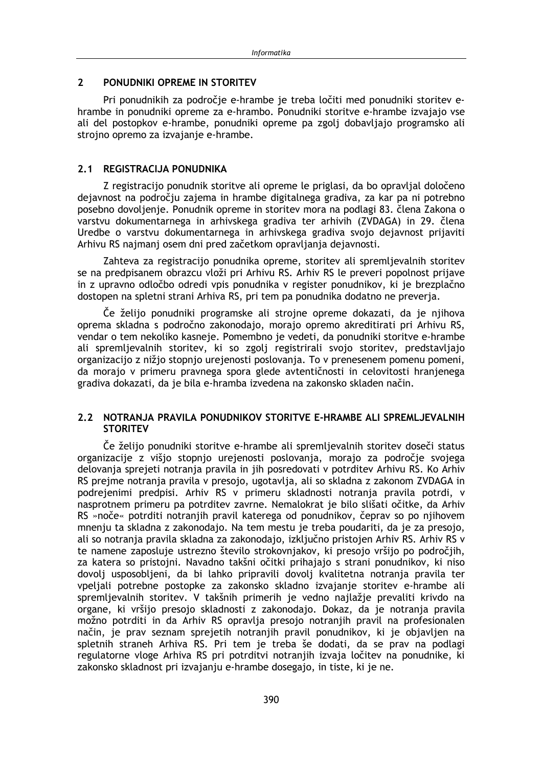#### $\overline{\mathbf{z}}$ PONUDNIKI OPREME IN STORITEV

Pri ponudnikih za področie e-hrambe je treba ločiti med ponudniki storitev ehrambe in ponudniki opreme za e-hrambo. Ponudniki storitve e-hrambe izvajajo vse ali del postopkov e-hrambe, ponudniki opreme pa zgolj dobavljajo programsko ali strojno opremo za izvajanje e-hrambe.

## 2.1 REGISTRACIJA PONUDNIKA

Z registracijo ponudnik storitve ali opreme le priglasi, da bo opravljal določeno dejavnost na področju zajema in hrambe digitalnega gradiva, za kar pa ni potrebno posebno dovoljenje. Ponudnik opreme in storitev mora na podlagi 83. člena Zakona o varstvu dokumentarnega in arhivskega gradiva ter arhivih (ZVDAGA) in 29. člena Uredbe o varstvu dokumentarnega in arhivskega gradiva svojo dejavnost prijaviti Arhivu RS najmanj osem dni pred začetkom opravljanja dejavnosti.

Zahteva za registracijo ponudnika opreme, storitev ali spremljevalnih storitev se na predpisanem obrazcu vloži pri Arhivu RS. Arhiv RS le preveri popolnost prijave in z upravno odločbo odredi vpis ponudnika v register ponudnikov, ki je brezplačno dostopen na spletni strani Arhiva RS, pri tem pa ponudnika dodatno ne preverja.

Če želijo ponudniki programske ali strojne opreme dokazati, da je njihova oprema skladna s področno zakonodajo, morajo opremo akreditirati pri Arhivu RS, vendar o tem nekoliko kasneje. Pomembno je vedeti, da ponudniki storitve e-hrambe ali spremljevalnih storitev, ki so zgolj registrirali svojo storitev, predstavljajo organizacijo z nižio stopnio urejenosti poslovania. To v prenesenem pomenu pomeni, da morajo v primeru pravnega spora glede avtentičnosti in celovitosti hranjenega gradiva dokazati, da je bila e-hramba izvedena na zakonsko skladen način.

## 2.2 NOTRANJA PRAVILA PONUDNIKOV STORITVE E-HRAMBE ALI SPREMLJEVALNIH **STORITEV**

Če želijo ponudniki storitve e-hrambe ali spremljevalnih storitev doseči status organizacije z višio stopnio urejenosti poslovania, morajo za področje svojega delovanja sprejeti notranja pravila in jih posredovati v potrditev Arhivu RS. Ko Arhiv RS prejme notranja pravila v presojo, ugotavlja, ali so skladna z zakonom ZVDAGA in podrejenimi predpisi. Arhiv RS v primeru skladnosti notranja pravila potrdi, v nasprotnem primeru pa potrditev zavrne. Nemalokrat je bilo slišati očitke, da Arhiv RS »noče« potrditi notranjih pravil katerega od ponudnikov, čeprav so po njihovem mnenju ta skladna z zakonodajo. Na tem mestu je treba poudariti, da je za presojo, ali so notranja pravila skladna za zakonodajo, izključno pristojen Arhiv RS. Arhiv RS v te namene zaposluje ustrezno število strokovnjakov, ki presojo vršijo po področjih, za katera so pristojni. Navadno takšni očitki prihajajo s strani ponudnikov, ki niso dovolj usposobljeni, da bi lahko pripravili dovolj kvalitetna notranja pravila ter vpeljali potrebne postopke za zakonsko skladno izvajanje storitev e-hrambe ali spremljevalnih storitev. V takšnih primerih je vedno najlažje prevaliti krivdo na organe, ki vršijo presojo skladnosti z zakonodajo. Dokaz, da je notranja pravila možno potrditi in da Arhiv RS opravlja presojo notranjih pravil na profesionalen način, je prav seznam sprejetih notranjih pravil ponudnikov, ki je objavljen na spletnih straneh Arhiva RS. Pri tem je treba še dodati, da se prav na podlagi regulatorne vloge Arhiva RS pri potrditvi notranjih izvaja ločitev na ponudnike, ki zakonsko skladnost pri izvajanju e-hrambe dosegajo, in tiste, ki je ne.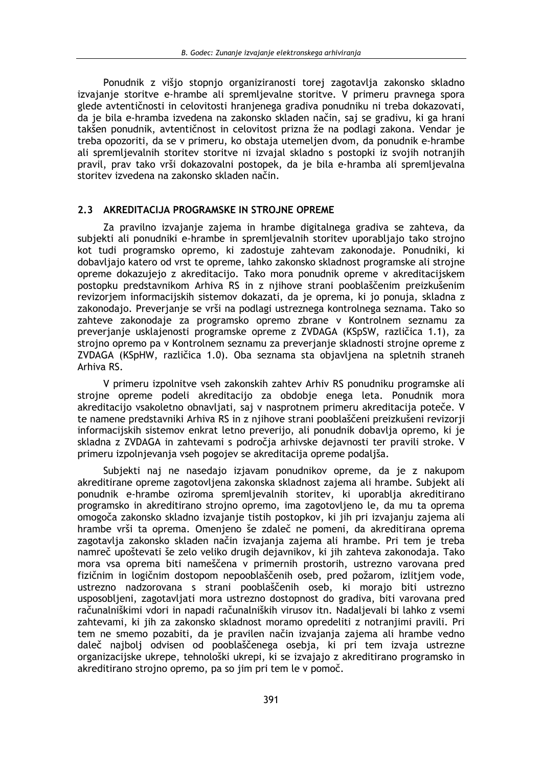Ponudnik z višjo stopnjo organiziranosti torej zagotavlja zakonsko skladno izvajanje storitve e-hrambe ali spremljevalne storitve. V primeru pravnega spora glede avtentičnosti in celovitosti hranjenega gradiva ponudniku ni treba dokazovati, da je bila e-hramba izvedena na zakonsko skladen način, saj se gradivu, ki ga hranj takšen ponudnik, avtentičnost in celovitost prizna že na podlagi zakona. Vendar je treba opozoriti, da se v primeru, ko obstaja utemeljen dvom, da ponudnik e-hrambe ali spremljevalnih storitev storitve ni izvajal skladno s postopki iz svojih notranjih pravil, prav tako vrši dokazovalni postopek, da je bila e-hramba ali spremljevalna storitev izvedena na zakonsko skladen način.

#### 2.3 AKREDITACIJA PROGRAMSKE IN STROJNE OPREME

Za pravilno izvajanje zajema in hrambe digitalnega gradiva se zahteva, da subjekti ali ponudniki e-hrambe in spremljevalnih storitev uporabljajo tako strojno kot tudi programsko opremo, ki zadostuje zahtevam zakonodaje. Ponudniki, ki dobavljajo katero od vrst te opreme, lahko zakonsko skladnost programske ali strojne opreme dokazujejo z akreditacijo. Tako mora ponudnik opreme v akreditacijskem postopku predstavnikom Arhiva RS in z njihove strani pooblaščenim preizkušenim revizorjem informacijskih sistemov dokazati, da je oprema, ki jo ponuja, skladna z zakonodajo. Preverjanje se vrši na podlagi ustreznega kontrolnega seznama. Tako so zahteve zakonodaje za programsko opremo zbrane v Kontrolnem seznamu za preverianie usklajenosti programske opreme z ZVDAGA (KSpSW, različica 1.1), za strojno opremo pa v Kontrolnem seznamu za preverjanje skladnosti strojne opreme z ZVDAGA (KSpHW, različica 1.0). Oba seznama sta objavljena na spletnih straneh Arhiva RS.

V primeru izpolnitve vseh zakonskih zahtev Arhiv RS ponudniku programske ali stroine opreme podeli akreditacijo za obdobie enega leta. Ponudnik mora akreditacijo vsakoletno obnavljati, saj v nasprotnem primeru akreditacija poteče. V te namene predstavniki Arhiva RS in z nijhove strani pooblaščeni preizkušeni revizorij informacijskih sistemov enkrat letno preverijo, ali ponudnik dobavlja opremo, ki je skladna z ZVDAGA in zahtevami s področia arhivske dejavnosti ter pravili stroke. V primeru izpolnjevanja vseh pogojev se akreditacija opreme podaljša.

Subjekti naj ne nasedajo izjavam ponudnikov opreme, da je z nakupom akreditirane opreme zagotovljena zakonska skladnost zajema ali hrambe. Subjekt ali ponudnik e-hrambe oziroma spremljevalnih storitev, ki uporablja akreditirano programsko in akreditirano strojno opremo, ima zagotovljeno le, da mu ta oprema omogoča zakonsko skladno izvajanje tistih postopkov, ki jih pri izvajanju zajema ali hrambe vrši ta oprema. Omenjeno še zdaleč ne pomeni, da akreditirana oprema zagotavlja zakonsko skladen način izvajanja zajema ali hrambe. Pri tem je treba namreč upoštevati še zelo veliko drugih dejavnikov, ki jih zahteva zakonodaja. Tako mora vsa oprema biti nameščena v primernih prostorih, ustrezno varovana pred fizičnim in logičnim dostopom nepooblaščenih oseb, pred požarom, izlitjem vode, ustrezno nadzorovana s strani pooblaščenih oseb, ki morajo biti ustrezno usposobljeni, zagotavljati mora ustrezno dostopnost do gradiva, biti varovana pred računalniškimi vdori in napadi računalniških virusov itn. Nadaljevali bi lahko z vsemi zahtevami, ki jih za zakonsko skladnost moramo opredeliti z notranjimi pravili. Pri tem ne smemo pozabiti, da je pravilen način izvajanja zajema ali hrambe vedno daleč najbolj odvisen od pooblaščenega osebja, ki pri tem izvaja ustrezne organizacijske ukrepe, tehnološki ukrepi, ki se izvajajo z akreditirano programsko in akreditirano strojno opremo, pa so jim pri tem le v pomoč.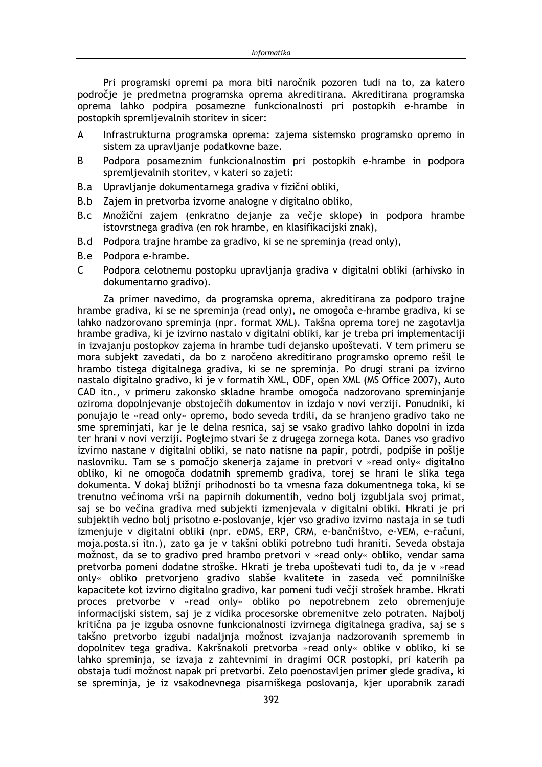Pri programski opremi pa mora biti naročnik pozoren tudi na to, za katero področje je predmetna programska oprema akreditirana. Akreditirana programska oprema lahko podpira posamezne funkcionalnosti pri postopkih e-hrambe in postopkih spremlievalnih storitev in sicer:

- $\mathsf{A}$ Infrastrukturna programska oprema: zajema sistemsko programsko opremo in sistem za upravljanje podatkovne baze.
- Podpora posameznim funkcionalnostim pri postopkih e-hrambe in podpora B. spremljevalnih storitev, v kateri so zajeti:
- Upravljanje dokumentarnega gradiva v fizični obliki, B.a
- B.b Zajem in pretvorba izvorne analogne v digitalno obliko,
- B.c Množični zajem (enkratno dejanje za večje sklope) in podpora hrambe istovrstnega gradiva (en rok hrambe, en klasifikacijski znak),
- B.d Podpora trajne hrambe za gradivo, ki se ne spreminja (read only),
- B.e Podpora e-hrambe.
- $\mathsf{C}$ Podpora celotnemu postopku upravljanja gradiva v digitalni obliki (arhivsko in dokumentarno gradivo).

Za primer navedimo, da programska oprema, akreditirana za podporo trajne hrambe gradiva, ki se ne spreminja (read only), ne omogoča e-hrambe gradiva, ki se lahko nadzorovano spreminja (npr. format XML). Takšna oprema torei ne zagotavlia hrambe gradiva, ki je izvirno nastalo v digitalni obliki, kar je treba pri implementaciji in izvajanju postopkov zajema in hrambe tudi dejansko upoštevati. V tem primeru se mora subjekt zavedati, da bo z naročeno akreditirano programsko opremo rešil le hrambo tistega digitalnega gradiva, ki se ne spreminja. Po drugi strani pa izvirno nastalo digitalno gradivo, ki je v formatih XML, ODF, open XML (MS Office 2007), Auto CAD itn., v primeru zakonsko skladne hrambe omogoča nadzorovano spreminjanje oziroma dopolnjevanje obstoječih dokumentov in izdajo v novi verziji. Ponudniki, ki ponujajo le »read only« opremo, bodo seveda trdili, da se hranjeno gradivo tako ne sme spreminiati, kar je le delna resnica, saj se vsako gradivo lahko dopolni in izda ter hrani v novi verziji. Poglejmo stvari še z drugega zornega kota. Danes vso gradivo izvirno nastane v digitalni obliki, se nato natisne na papir, potrdi, podpiše in pošlje naslovniku. Tam se s pomočjo skenerja zajame in pretvori v »read only« digitalno obliko, ki ne omogoča dodatnih sprememb gradiva, torej se hrani le slika tega dokumenta. V dokaj bližnij prihodnosti bo ta vmesna faza dokumentnega toka, ki se trenutno večinoma vrši na papirnih dokumentih, vedno bolj izgubljala svoj primat, saj se bo večina gradiva med subjekti izmenjevala v digitalni obliki. Hkrati je pri subjektih vedno bolj prisotno e-poslovanje, kjer vso gradivo izvirno nastaja in se tudi izmenjuje v digitalni obliki (npr. eDMS, ERP, CRM, e-bančništvo, e-VEM, e-računi, moja.posta.si itn.), zato ga je v takšni obliki potrebno tudi hraniti. Seveda obstaja možnost, da se to gradivo pred hrambo pretvori v »read only« obliko, vendar sama pretvorba pomeni dodatne stroške. Hkrati je treba upoštevati tudi to, da je v »read only« obliko pretvorjeno gradivo slabše kvalitete in zaseda več pomnilniške kapacitete kot izvirno digitalno gradivo, kar pomeni tudi večji strošek hrambe. Hkrati proces pretvorbe v »read only« obliko po nepotrebnem zelo obremenjuje informaciiski sistem, sai je z vidika procesorske obremenitve zelo potraten. Najbolj kritična pa je izguba osnovne funkcionalnosti izvirnega digitalnega gradiva, saj se s takšno pretvorbo izgubi nadaljnja možnost izvajanja nadzorovanih sprememb in dopolnitev tega gradiva. Kakršnakoli pretvorba »read only« oblike v obliko, ki se lahko spreminja, se izvaja z zahtevnimi in dragimi OCR postopki, pri katerih pa obstaja tudi možnost napak pri pretvorbi. Zelo poenostavljen primer glede gradiva, ki se spreminja, je iz vsakodnevnega pisarniškega poslovanja, kjer uporabnik zaradi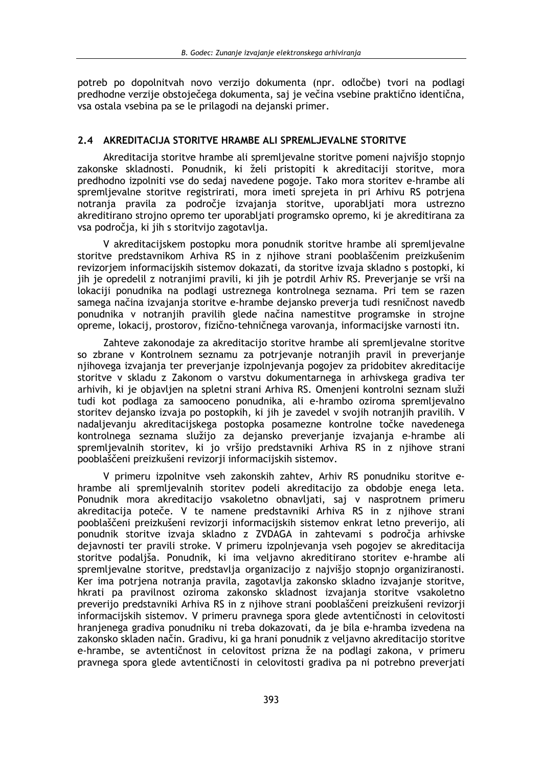potreb po dopolnitvah novo verzijo dokumenta (npr. odločbe) tvori na podlagi predhodne verzije obstoječega dokumenta, saj je večina vsebine praktično identična, vsa ostala vsebina pa se le prilagodi na dejanski primer.

## 2.4 AKREDITACIJA STORITVE HRAMBE ALI SPREMLJEVALNE STORITVE

Akreditacija storitve hrambe ali spremljevalne storitve pomeni najvišjo stopnjo zakonske skladnosti. Ponudnik, ki želi pristopiti k akreditaciji storitve, mora predhodno izpolniti vse do sedaj navedene pogoje. Tako mora storitev e-hrambe ali spremljevalne storitve registrirati, mora imeti sprejeta in pri Arhivu RS potrjena notranja pravila za področje izvajanja storitve, uporabljati mora ustrezno akreditirano strojno opremo ter uporabljati programsko opremo, ki je akreditirana za vsa področia, ki jih s storitvijo zagotavlja.

V akreditacijskem postopku mora ponudnik storitve hrambe ali spremljevalne storitve predstavnikom Arhiva RS in z njihove strani pooblaščenim preizkušenim revizorjem informacijskih sistemov dokazati, da storitve izvaja skladno s postopki, ki jih je opredelil z notranjimi pravili, ki jih je potrdil Arhiv RS. Preverjanje se vrši na lokaciji ponudnika na podlagi ustreznega kontrolnega seznama. Pri tem se razen samega načina izvajanja storitve e-hrambe dejansko preverja tudi resničnost navedb ponudnika v notranjih pravilih glede načina namestitve programske in strojne opreme, lokacij, prostorov, fizično-tehničnega varovanja, informacijske varnosti itn.

Zahteve zakonodaje za akreditacijo storitve hrambe ali spremljevalne storitve so zbrane v Kontrolnem seznamu za potrievanje notranjih pravil in preverjanje njihovega izvajanja ter preverjanje izpolnjevanja pogojev za pridobitev akreditacije storitve v skladu z Zakonom o varstvu dokumentarnega in arhivskega gradiva ter arhivih, ki je objavljen na spletni strani Arhiva RS. Omenjeni kontrolni seznam služi tudi kot podlaga za samooceno ponudnika, ali e-hrambo oziroma spremljevalno storitev dejansko izvaja po postopkih, ki jih je zavedel v svojih notranjih pravilih. V nadalievaniu akreditaciiskega postopka posamezne kontrolne točke navedenega kontrolnega seznama služijo za dejansko preverjanje izvajanja e-hrambe ali spremlievalnih storitev, ki jo vršijo predstavniki Arhiva RS in z nijhove strani pooblaščeni preizkušeni revizorji informacijskih sistemov.

V primeru izpolnitve vseh zakonskih zahtev, Arhiv RS ponudniku storitve ehrambe ali spremljevalnih storitev podeli akreditacijo za obdobje enega leta. Ponudnik mora akreditacijo vsakoletno obnavljati, saj v nasprotnem primeru akreditacija poteče. V te namene predstavniki Arhiva RS in z njihove strani pooblaščeni preizkušeni revizorji informacijskih sistemov enkrat letno preverijo, ali ponudnik storitve izvaja skladno z ZVDAGA in zahtevami s področja arhivske dejavnosti ter pravili stroke. V primeru izpolnjevanja vseh pogojev se akreditacija storitve podaljša. Ponudnik, ki ima veljavno akreditirano storitev e-hrambe ali spremljevalne storitve, predstavlja organizacijo z najvišjo stopnjo organiziranosti. Ker ima potrjena notranja pravila, zagotavlja zakonsko skladno izvajanje storitve, hkrati pa pravilnost oziroma zakonsko skladnost izvajanja storitve vsakoletno preverijo predstavniki Arhiva RS in z njihove strani pooblaščeni preizkušeni revizorji informacijskih sistemov. V primeru pravnega spora glede avtentičnosti in celovitosti hranjenega gradiva ponudniku ni treba dokazovati, da je bila e-hramba izvedena na zakonsko skladen način. Gradivu, ki ga hrani ponudnik z veljavno akreditacijo storitve e-hrambe, se avtentičnost in celovitost prizna že na podlagi zakona, v primeru pravnega spora glede avtentičnosti in celovitosti gradiva pa ni potrebno preverjati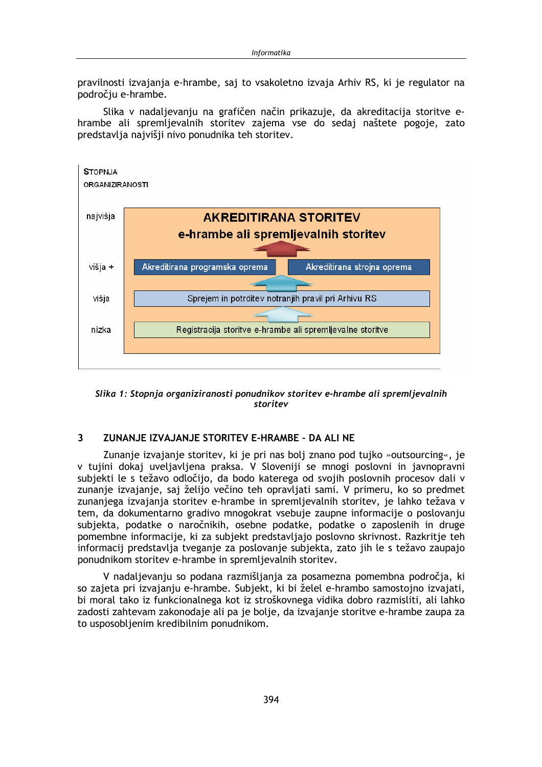pravilnosti izvajanja e-hrambe, saj to vsakoletno izvaja Arhiv RS, ki je regulator na področiu e-hrambe.

Slika v nadaljevanju na grafičen način prikazuje, da akreditacija storitve ehrambe ali spremljevalnih storitev zajema vse do sedaj naštete pogoje, zato predstavlja najvišji nivo ponudnika teh storitev.



Slika 1: Stopnja organiziranosti ponudnikov storitev e-hrambe ali spremljevalnih storitev

#### $\overline{\mathbf{3}}$ ZUNANJE IZVAJANJE STORITEV E-HRAMBE - DA ALI NE

Zunanje izvajanje storitev, ki je pri nas bolj znano pod tujko »outsourcing«, je v tujini dokaj uveljavljena praksa. V Sloveniji se mnogi poslovni in javnopravni subjekti le s težavo odločijo, da bodo katerega od svojih poslovnih procesov dalj v zunanje izvajanje, saj želijo večino teh opravljati sami. V primeru, ko so predmet zunanjega izvajanja storitev e-hrambe in spremljevalnih storitev, je lahko težava v tem, da dokumentarno gradivo mnogokrat vsebuje zaupne informacije o poslovanju subjekta, podatke o naročnikih, osebne podatke, podatke o zaposlenih in druge pomembne informacije, ki za subjekt predstavljajo poslovno skrivnost. Razkritje teh informacij predstavlja tveganje za poslovanje subjekta, zato jih le s težavo zaupajo ponudnikom storitev e-hrambe in spremljevalnih storitev.

V nadaljevanju so podana razmišljanja za posamezna pomembna področja, ki so zajeta pri izvajanju e-hrambe. Subjekt, ki bi želel e-hrambo samostojno izvajati, bi moral tako iz funkcionalnega kot iz stroškovnega vidika dobro razmisliti, ali lahko zadosti zahtevam zakonodaje ali pa je bolje, da izvajanje storitve e-hrambe zaupa za to usposobljenim kredibilnim ponudnikom.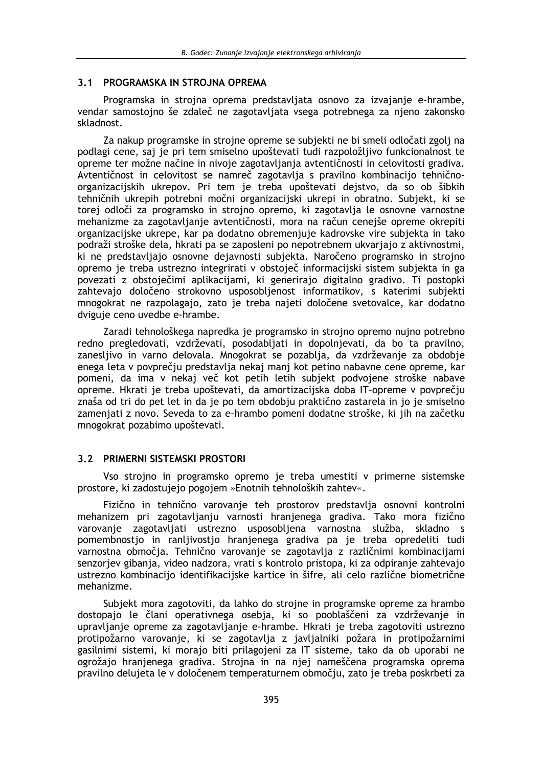## 3.1 PROGRAMSKA IN STROJNA OPREMA

Programska in strojna oprema predstavljata osnovo za izvajanje e-hrambe, vendar samostojno še zdaleč ne zagotavljata vsega potrebnega za njeno zakonsko skladnost.

Za nakup programske in strojne opreme se subjekti ne bi smelj odločati zgolj na podlagi cene, saj je pri tem smiselno upoštevati tudi razpoložljivo funkcionalnost te opreme ter možne načine in nivoje zagotavljanja avtentičnosti in celovitosti gradiva. Avtentičnost in celovitost se namreč zagotavlja s pravilno kombinacijo tehničnoorganizacijskih ukrepov. Pri tem je treba upoštevati dejstvo, da so ob šibkih tehničnih ukrepih potrebni močni organizacijski ukrepi in obratno. Subjekt, ki se torej odloči za programsko in strojno opremo, ki zagotavlja le osnovne varnostne mehanizme za zagotavljanje avtentičnosti, mora na račun cenejše opreme okrepiti organizacijske ukrepe, kar pa dodatno obremenjuje kadrovske vire subjekta in tako podraži stroške dela, hkrati pa se zaposleni po nepotrebnem ukvariajo z aktivnostmi. ki ne predstavljajo osnovne dejavnosti subjekta. Naročeno programsko in strojno opremo je treba ustrezno integrirati v obstoječ informacijski sistem subjekta in ga povezati z obstoječimi aplikacijami, ki generirajo digitalno gradivo. Ti postopki zahtevajo določeno strokovno usposobljenost informatikov, s katerimi subjekti mnogokrat ne razpolagajo, zato je treba najeti določene svetovalce, kar dodatno dviguie ceno uvedbe e-hrambe.

Zaradi tehnološkega napredka je programsko in strojno opremo nujno potrebno redno pregledovati, vzdrževati, posodabljati in dopolnjevati, da bo ta pravilno, zaneslijvo in varno delovala. Mnogokrat se pozablia, da vzdrževanje za obdobje enega leta v povprečju predstavlja nekaj manj kot petino nabavne cene opreme, kar pomeni, da ima v nekaj več kot petih letih subjekt podvojene stroške nabave opreme. Hkrati je treba upoštevati, da amortizacijska doba IT-opreme v povprečju znaša od tri do pet let in da je po tem obdobju praktično zastarela in jo je smiselno zamenjati z novo. Seveda to za e-hrambo pomeni dodatne stroške, ki jih na začetku mnogokrat pozabimo upoštevati.

## 3.2 PRIMERNI SISTEMSKI PROSTORI

Vso strojno in programsko opremo je treba umestiti v primerne sistemske prostore, ki zadostujejo pogojem »Enotnih tehnoloških zahtev«.

Fizično in tehnično varovanje teh prostorov predstavlja osnovni kontrolni mehanizem pri zagotavljanju varnosti hranjenega gradiva. Tako mora fizično varovanje zagotavljati ustrezno usposobljena varnostna služba, skladno s pomembnostjo in ranljivostjo hranjenega gradiva pa je treba opredeliti tudi varnostna območja. Tehnično varovanje se zagotavlja z različnimi kombinacijami senzorjev gibanja, video nadzora, vrati s kontrolo pristopa, ki za odpiranje zahtevajo ustrezno kombinacijo identifikacijske kartice in šifre, ali celo različne biometrične mehanizme.

Subjekt mora zagotoviti, da lahko do strojne in programske opreme za hrambo dostopajo le člani operativnega osebja, ki so pooblaščeni za vzdrževanje in upravlianje opreme za zagotavljanje e-hrambe. Hkrati je treba zagotoviti ustrezno protipožarno varovanje, ki se zagotavlja z javljalniki požara in protipožarnimi gasilnimi sistemi, ki morajo biti prilagojeni za IT sisteme, tako da ob uporabi ne ogrožajo hranjenega gradiva. Strojna in na njej nameščena programska oprema pravilno delujeta le v določenem temperaturnem območju, zato je treba poskrbeti za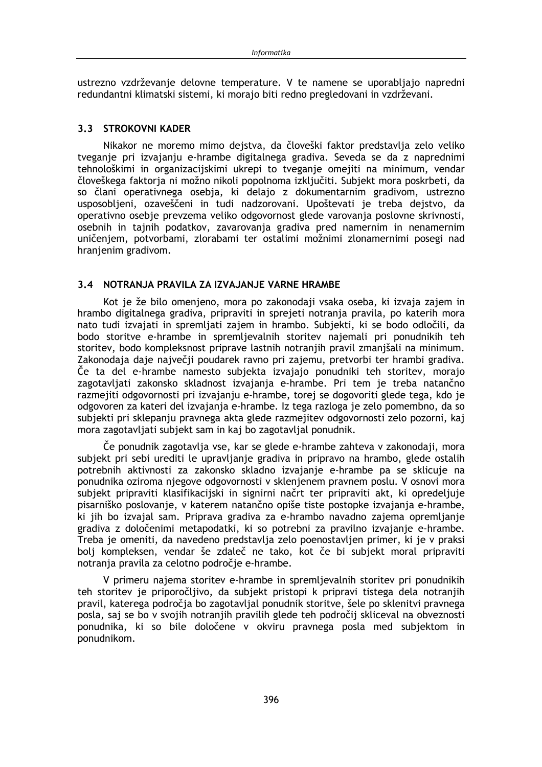ustrezno vzdrževanje delovne temperature. V te namene se uporabljajo napredni redundantni klimatski sistemi, ki morajo biti redno pregledovani in vzdrževani.

## 3.3 STROKOVNI KADER

Nikakor ne moremo mimo dejstva, da človeški faktor predstavlja zelo veliko tveganje pri izvajanju e-hrambe digitalnega gradiva. Seveda se da z naprednimi tehnološkimi in organizacijskimi ukrepi to tveganje omejiti na minimum, vendar človeškega faktorja ni možno nikoli popolnoma izključiti. Subjekt mora poskrbeti, da so člani operativnega osebja, ki delajo z dokumentarnim gradivom, ustrezno usposobljeni, ozaveščeni in tudi nadzorovani. Upoštevati je treba dejstvo, da operativno osebje prevzema veliko odgovornost glede varovanja poslovne skrivnosti, osebnih in tajnih podatkov, zavarovanja gradiva pred namernim in nenamernim uničenjem, potvorbami, zlorabami ter ostalimi možnimi zlonamernimi posegi nad hranjenim gradivom.

## 3.4 NOTRANJA PRAVILA ZA IZVAJANJE VARNE HRAMBE

Kot je že bilo omenjeno, mora po zakonodaji vsaka oseba, ki izvaja zajem in hrambo digitalnega gradiva, pripraviti in sprejeti notranja pravila, po katerih mora nato tudi izvajati in spremljati zajem in hrambo. Subjekti, ki se bodo odločili, da bodo storitve e-hrambe in spremljevalnih storitev najemali pri ponudnikih teh storitev, bodo kompleksnost priprave lastnih notranjih pravil zmanjšali na minimum. Zakonodaja daje največji poudarek ravno pri zajemu, pretvorbi ter hrambi gradiva. Če ta del e-hrambe namesto subjekta izvajajo ponudniki teh storitev, morajo zagotavljati zakonsko skladnost izvajanja e-hrambe. Pri tem je treba natančno razmejiti odgovornosti pri izvajanju e-hrambe, torej se dogovoriti glede tega, kdo je odgovoren za kateri del izvajanja e-hrambe. Iz tega razloga je zelo pomembno, da so subjekti pri sklepanju pravnega akta glede razmejitev odgovornosti zelo pozorni, kaj mora zagotavljati subjekt sam in kaj bo zagotavljal ponudnik.

Če ponudnik zagotavlja vse, kar se glede e-hrambe zahteva v zakonodaji, mora subjekt pri sebi urediti le upravljanje gradiva in pripravo na hrambo, glede ostalih potrebnih aktivnosti za zakonsko skladno izvajanje e-hrambe pa se sklicuje na ponudnika oziroma njegove odgovornosti v sklenjenem pravnem poslu. V osnovi mora subjekt pripraviti klasifikacijski in signirni načrt ter pripraviti akt, ki opredeljuje pisarniško poslovanje, v katerem natančno opiše tiste postopke izvajanja e-hrambe, ki jih bo izvajal sam. Priprava gradiva za e-hrambo navadno zajema opremljanje gradiva z določenimi metapodatki, ki so potrebni za pravilno izvajanje e-hrambe. Treba je omeniti, da navedeno predstavlja zelo poenostavljen primer, ki je v praksi bolj kompleksen, vendar še zdaleč ne tako, kot če bi subjekt moral pripraviti notranja pravila za celotno področje e-hrambe.

V primeru najema storitev e-hrambe in spremljevalnih storitev pri ponudnikih teh storitev je priporočljivo, da subjekt pristopi k pripravi tistega dela notranjih pravil, katerega področja bo zagotavljal ponudnik storitve, šele po sklenitvi pravnega posla, saj se bo v svojih notranjih pravilih glede teh področij skliceval na obveznosti ponudnika, ki so bile določene v okviru pravnega posla med subjektom in ponudnikom.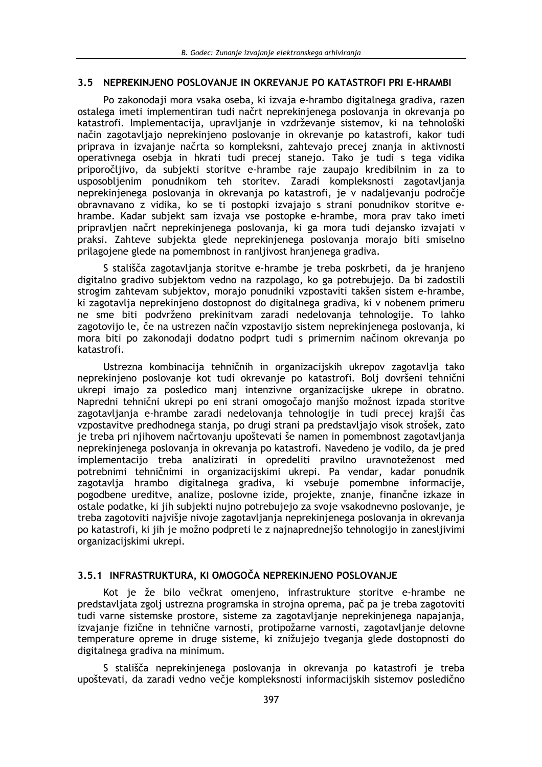## 3.5 NEPREKINJENO POSLOVANJE IN OKREVANJE PO KATASTROFI PRI E-HRAMBI

Po zakonodaji mora vsaka oseba, ki izvaja e-hrambo digitalnega gradiva, razen ostalega imeti implementiran tudi načrt neprekinjenega poslovanja in okrevanja po katastrofi. Implementacija, upravljanje in vzdrževanje sistemov, ki na tehnološki način zagotavljajo neprekinjeno poslovanje in okrevanje po katastrofi, kakor tudi priprava in izvajanje načrta so kompleksni, zahtevajo precej znanja in aktivnosti operativnega osebja in hkrati tudi precej stanejo. Tako je tudi s tega vidika priporočljivo, da subjekti storitve e-hrambe raje zaupajo kredibilnim in za to usposobljenim ponudnikom teh storitev. Zaradi kompleksnosti zagotavljanja neprekinjenega poslovanja in okrevanja po katastrofi, je v nadaljevanju področje obravnavano z vidika, ko se ti postopki izvajajo s strani ponudnikov storitve ehrambe. Kadar subjekt sam izvaja vse postopke e-hrambe, mora prav tako imeti pripravljen načrt neprekinjenega poslovanja, ki ga mora tudi dejansko izvajati v praksi. Zahteve subjekta glede neprekinjenega poslovanja morajo biti smiselno prilagojene glede na pomembnost in ranljivost hranjenega gradiva.

S stališča zagotavljanja storitve e-hrambe je treba poskrbeti, da je hranjeno digitalno gradivo subjektom vedno na razpolago, ko ga potrebujejo. Da bi zadostili strogim zahtevam subjektov, morajo ponudniki vzpostaviti takšen sistem e-hrambe, ki zagotavlja neprekinjeno dostopnost do digitalnega gradiva, ki v nobenem primeru ne sme biti podvrženo prekinitvam zaradi nedelovanja tehnologije. To lahko zagotovijo le, če na ustrezen način vzpostavijo sistem neprekinjenega poslovanja, ki mora biti po zakonodaji dodatno podprt tudi s primernim načinom okrevanja po katastrofi.

Ustrezna kombinacija tehničnih in organizacijskih ukrepov zagotavlja tako neprekinjeno poslovanje kot tudi okrevanje po katastrofi. Bolj dovršeni tehnični ukrepi imajo za posledico manj intenzivne organizacijske ukrepe in obratno. Napredni tehnični ukrepi po eni strani omogočajo manišo možnost izpada storitve zagotavljanja e-hrambe zaradi nedelovanja tehnologije in tudi precej krajši čas vzpostavitve predhodnega stanja, po drugi strani pa predstavljajo visok strošek, zato je treba pri njihovem načrtovanju upoštevati še namen in pomembnost zagotavljanja neprekinjenega poslovanja in okrevanja po katastrofi. Navedeno je vodilo, da je pred implementacijo treba analizirati in opredeliti pravilno uravnoteženost med potrebnimi tehničnimi in organizacijskimi ukrepi. Pa vendar, kadar ponudnik zagotavlja hrambo digitalnega gradiva, ki vsebuje pomembne informacije, pogodbene ureditve, analize, poslovne izide, projekte, znanje, finančne izkaze in ostale podatke, ki jih subjekti nujno potrebujejo za svoje vsakodnevno poslovanje, je treba zagotoviti najvišje nivoje zagotavljanja neprekinjenega poslovanja in okrevanja po katastrofi, ki jih je možno podpreti le z najnaprednejšo tehnologijo in zanesljivimi organizacijskimi ukrepi.

## 3.5.1 INFRASTRUKTURA. KI OMOGOČA NEPREKINJENO POSLOVANJE

Kot je že bilo večkrat omenjeno, infrastrukture storitve e-hrambe ne predstavljata zgolj ustrezna programska in strojna oprema, pač pa je treba zagotoviti tudi varne sistemske prostore, sisteme za zagotavljanje neprekinjenega napajanja, izvajanje fizične in tehnične varnosti, protipožarne varnosti, zagotavljanje delovne temperature opreme in druge sisteme, ki znižujejo tveganja glede dostopnosti do digitalnega gradiva na minimum.

S stališča neprekinjenega poslovanja in okrevanja po katastrofi je treba upoštevati, da zaradi vedno večje kompleksnosti informacijskih sistemov posledično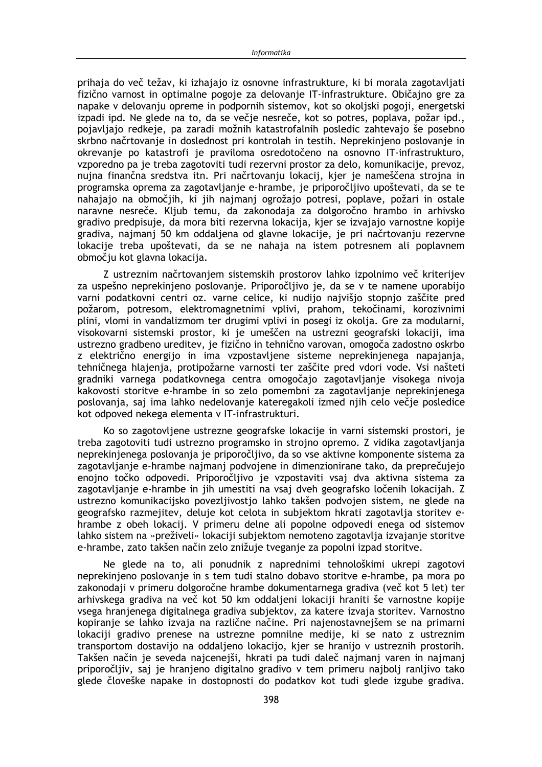prihaja do več težav, ki izhajajo iz osnovne infrastrukture, ki bi morala zagotavljati fizično varnost in optimalne pogoje za delovanje IT-infrastrukture. Običajno gre za napake v delovanju opreme in podpornih sistemov, kot so okoliski pogoji, energetski izpadi ipd. Ne glede na to, da se večje nesreče, kot so potres, poplava, požar ipd., pojavljajo redkeje, pa zaradi možnih katastrofalnih posledic zahtevajo še posebno skrbno načrtovanje in doslednost pri kontrolah in testih. Neprekinjeno poslovanje in okrevanje po katastrofi je praviloma osredotočeno na osnovno IT-infrastrukturo, vzporedno pa je treba zagotoviti tudi rezervni prostor za delo, komunikacije, prevoz, nujna finančna sredstva itn. Pri načrtovanju lokacij, kjer je nameščena strojna in programska oprema za zagotavljanje e-hrambe, je priporočljivo upoštevati, da se te nahajajo na območjih, ki jih najmanj ogrožajo potresi, poplave, požari in ostale naravne nesreče. Kljub temu, da zakonodaja za dolgoročno hrambo in arhivsko gradivo predpisuje, da mora biti rezervna lokacija, kjer se izvajajo varnostne kopije gradiva, najmanj 50 km oddaljena od glavne lokacije, je pri načrtovanju rezervne lokacije treba upoštevati, da se ne nahaja na istem potresnem ali poplavnem območju kot glavna lokacija.

Z ustreznim načrtovanjem sistemskih prostorov lahko izpolnimo več kriterijev za uspešno neprekinieno poslovanie. Priporočlijvo je, da se v te namene uporabijo varni podatkovni centri oz. varne celice, ki nudijo najvišjo stopnjo zaščite pred požarom, potresom, elektromagnetnimi vplivi, prahom, tekočinami, korozivnimi plini, vlomi in vandalizmom ter drugimi vplivi in posegi iz okolja. Gre za modularni, visokovarni sistemski prostor, ki je umeščen na ustrezni geografski lokaciji, ima ustrezno gradbeno ureditev, je fizično in tehnično varovan, omogoča zadostno oskrbo z električno energijo in ima vzpostavljene sisteme neprekinjenega napajanja, tehničnega hlajenja, protipožarne varnosti ter zaščite pred vdori vode. Vsi našteti gradniki varnega podatkovnega centra omogočajo zagotavljanje visokega nivoja kakovosti storitve e-hrambe in so zelo pomembni za zagotavljanje neprekinjenega poslovanja, saj ima lahko nedelovanje kateregakoli izmed njih celo večje posledice kot odpoved nekega elementa v IT-infrastrukturi.

Ko so zagotovljene ustrezne geografske lokacije in varni sistemski prostori, je treba zagotoviti tudi ustrezno programsko in strojno opremo. Z vidika zagotavljanja neprekinienega poslovania je priporočlijvo, da so vse aktivne komponente sistema za zagotavljanje e-hrambe najmanj podvojene in dimenzionirane tako, da preprečujejo enojno točko odpovedi. Priporočljivo je vzpostaviti vsaj dva aktivna sistema za zagotavljanje e-hrambe in jih umestiti na vsaj dveh geografsko ločenih lokacijah. Z ustrezno komunikacijsko povezljivostjo lahko takšen podvojen sistem, ne glede na geografsko razmejitev, deluje kot celota in subjektom hkrati zagotavlja storitev ehrambe z obeh lokacij. V primeru delne ali popolne odpovedi enega od sistemov lahko sistem na »preživeli« lokaciji subjektom nemoteno zagotavlja izvajanje storitve e-hrambe, zato takšen način zelo znižuje tveganje za popolni izpad storitve.

Ne glede na to, ali ponudnik z naprednimi tehnološkimi ukrepi zagotovi neprekinjeno poslovanje in s tem tudi stalno dobavo storitve e-hrambe, pa mora po zakonodaji v primeru dolgoročne hrambe dokumentarnega gradiva (več kot 5 let) ter arhivskega gradiva na več kot 50 km oddaljeni lokaciji hraniti še varnostne kopije vsega hranjenega digitalnega gradiva subjektov, za katere izvaja storitev. Varnostno kopiranje se lahko izvaja na različne načine. Pri najenostavnejšem se na primarni lokaciji gradivo prenese na ustrezne pomnilne medije, ki se nato z ustreznim transportom dostavijo na oddaljeno lokacijo, kjer se hranijo v ustreznih prostorih. Takšen način je seveda najcenejši, hkrati pa tudi daleč najmanj varen in najmanj priporočliiv, saj je hranjeno digitalno gradivo v tem primeru najbolj ranljivo tako glede človeške napake in dostopnosti do podatkov kot tudi glede izgube gradiva.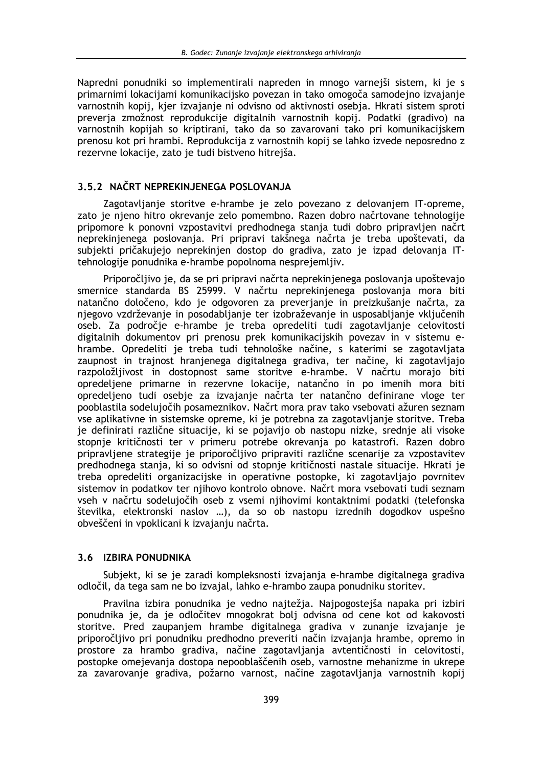Napredni ponudniki so implementirali napreden in mnogo varnejši sistem, ki je s primarnimi lokacijami komunikacijsko povezan in tako omogoča samodejno izvajanje varnostnih kopij, kjer izvajanje ni odvisno od aktivnosti osebja. Hkrati sistem sproti preveria zmožnost reprodukcije digitalnih varnostnih kopij. Podatki (gradivo) na varnostnih kopijah so kriptirani, tako da so zavarovani tako pri komunikacijskem prenosu kot pri hrambi. Reprodukcija z varnostnih kopij se lahko izvede neposredno z rezervne lokacije, zato je tudi bistveno hitrejša.

## 3.5.2 NAČRT NEPREKINJENEGA POSLOVANJA

Zagotavljanje storitve e-hrambe je zelo povezano z delovanjem IT-opreme, zato je njeno hitro okrevanje zelo pomembno. Razen dobro načrtovane tehnologije pripomore k ponovni vzpostavitvi predhodnega stanja tudi dobro pripravljen načrt neprekinjenega poslovanja. Pri pripravi takšnega načrta je treba upoštevati, da subjekti pričakujejo neprekinjen dostop do gradiva, zato je izpad delovanja ITtehnologije ponudnika e-hrambe popolnoma nesprejemljiv.

Priporočljivo je, da se pri pripravi načrta neprekinjenega poslovanja upoštevajo smernice standarda BS 25999. V načrtu neprekinjenega poslovanja mora biti natančno določeno, kdo je odgovoren za preverjanje in preizkušanje načrta, za njegovo vzdrževanje in posodabljanje ter izobraževanje in usposabljanje vključenih oseb. Za področje e-hrambe je treba opredeliti tudi zagotavljanje celovitosti digitalnih dokumentov pri prenosu prek komunikacijskih povezav in v sistemu ehrambe. Opredeliti je treba tudi tehnološke načine, s katerimi se zagotavljata zaupnost in trajnost hranjenega digitalnega gradiva, ter načine, ki zagotavljajo razpoložljivost in dostopnost same storitve e-hrambe. V načrtu morajo biti opredeljene primarne in rezervne lokacije, natančno in po imenih mora biti opredelieno tudi osebie za izvajanje načrta ter natančno definirane vloge ter pooblastila sodelujočih posameznikov. Načrt mora prav tako vsebovati ažuren seznam vse aplikativne in sistemske opreme, ki je potrebna za zagotavljanje storitve. Treba je definirati različne situacije, ki se pojavijo ob nastopu nizke, srednje ali visoke stopnie kritičnosti ter v primeru potrebe okrevania po katastrofi. Razen dobro pripravljene strategije je priporočljivo pripraviti različne scenarije za vzpostavitev predhodnega stania, ki so odvisni od stopnie kritičnosti nastale situacije. Hkrati je treba opredeliti organizacijske in operativne postopke, ki zagotavljajo povrnitev sistemov in podatkov ter njihovo kontrolo obnove. Načrt mora vsebovati tudi seznam vseh v načrtu sodelujočih oseb z vsemi njihovimi kontaktnimi podatki (telefonska številka, elektronski naslov ...), da so ob nastopu izrednih dogodkov uspešno obveščeni in vpoklicani k izvajanju načrta.

## 3.6 IZBIRA PONUDNIKA

Subjekt, ki se je zaradi kompleksnosti izvajanja e-hrambe digitalnega gradiva odločil, da tega sam ne bo izvajal, lahko e-hrambo zaupa ponudniku storitev.

Pravilna izbira ponudnika je vedno najtežja. Najpogostejša napaka pri izbiri ponudnika je, da je odločitev mnogokrat bolj odvisna od cene kot od kakovosti storitve. Pred zaupanjem hrambe digitalnega gradiva v zunanje izvajanje je priporočljivo pri ponudniku predhodno preveriti način izvajanja hrambe, opremo in prostore za hrambo gradiva, načine zagotavljanja avtentičnosti in celovitosti, postopke omejevanja dostopa nepooblaščenih oseb, varnostne mehanizme in ukrepe za zavarovanje gradiva, požarno varnost, načine zagotavljanja varnostnih kopij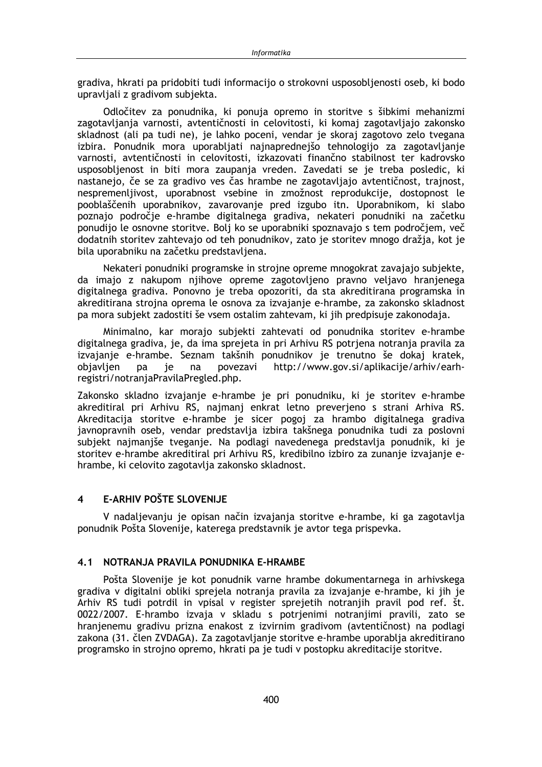gradiva, hkrati pa pridobiti tudi informacijo o strokovni usposoblienosti oseb, ki bodo upravljali z gradivom subjekta.

Odločitev za ponudnika, ki ponuja opremo in storitve s šibkimi mehanizmi zagotavljanja varnosti, avtentičnosti in celovitosti, ki komaj zagotavljajo zakonsko skladnost (ali pa tudi ne), je lahko poceni, vendar je skoraj zagotovo zelo tvegana izbira. Ponudnik mora uporabljati najnaprednejšo tehnologijo za zagotavljanje varnosti, avtentičnosti in celovitosti, izkazovati finančno stabilnost ter kadrovsko usposobljenost in biti mora zaupanja vreden. Zavedati se je treba posledic, ki nastanejo, če se za gradivo ves čas hrambe ne zagotavljajo avtentičnost, trajnost, nespremenljivost, uporabnost vsebine in zmožnost reprodukcije, dostopnost le pooblaščenih uporabnikov, zavarovanje pred izgubo itn. Uporabnikom, ki slabo poznajo področje e-hrambe digitalnega gradiva, nekateri ponudniki na začetku ponudijo le osnovne storitve. Bolj ko se uporabniki spoznavajo s tem področjem, več dodatnih storitev zahtevajo od teh ponudnikov, zato je storitev mnogo dražia, kot je bila uporabniku na začetku predstavljena.

Nekateri ponudniki programske in strojne opreme mnogokrat zavajajo subjekte, da imajo z nakupom njihove opreme zagotovljeno pravno veljavo hranjenega digitalnega gradiva. Ponovno je treba opozoriti, da sta akreditirana programska in akreditirana strojna oprema le osnova za izvajanje e-hrambe, za zakonsko skladnost pa mora subjekt zadostiti še vsem ostalim zahtevam, ki jih predpisuje zakonodaja.

Minimalno, kar morajo subjekti zahtevati od ponudnika storitev e-hrambe digitalnega gradiva, je, da ima sprejeta in pri Arhivu RS potrjena notranja pravila za izvajanje e-hrambe. Seznam takšnih ponudnikov je trenutno še dokaj kratek, je povezavi http://www.gov.si/aplikacije/arhiv/earhobjavljen pa na registri/notranjaPravilaPregled.php.

Zakonsko skladno izvajanje e-hrambe je pri ponudniku, ki je storitev e-hrambe akreditiral pri Arhivu RS, najmanj enkrat letno preverjeno s strani Arhiva RS. Akreditacija storitve e-hrambe je sicer pogoj za hrambo digitalnega gradiva javnopravnih oseb, vendar predstavlja izbira takšnega ponudnika tudi za poslovni subjekt najmaniše tveganje. Na podlagi navedenega predstavlja ponudnik, ki je storitev e-hrambe akreditiral pri Arhivu RS, kredibilno izbiro za zunanje izvajanje ehrambe, ki celovito zagotavlja zakonsko skladnost.

#### **E-ARHIV POŠTE SLOVENIJE**  $\overline{\mathbf{4}}$

V nadaljevanju je opisan način izvajanja storitve e-hrambe, ki ga zagotavlja ponudnik Pošta Slovenije, katerega predstavnik je avtor tega prispevka.

## 4.1 NOTRANJA PRAVILA PONUDNIKA E-HRAMBE

Pošta Slovenije je kot ponudnik varne hrambe dokumentarnega in arhivskega gradiva v digitalni obliki sprejela notranja pravila za izvajanje e-hrambe, ki jih je Arhiv RS tudi potrdil in vpisal v register sprejetih notranjih pravil pod ref. št. 0022/2007. E-hrambo izvaja v skladu s potrjenimi notranjimi pravili, zato se hranjenemu gradivu prizna enakost z izvirnim gradivom (avtentičnost) na podlagi zakona (31. člen ZVDAGA). Za zagotavljanje storitve e-hrambe uporablja akreditirano programsko in strojno opremo, hkrati pa je tudi v postopku akreditacije storitve.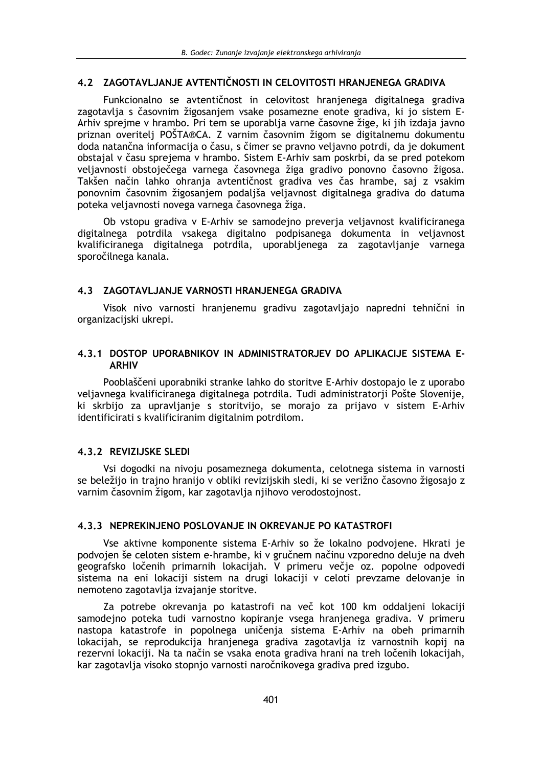## 4.2 ZAGOTAVLJANJE AVTENTIČNOSTI IN CELOVITOSTI HRANJENEGA GRADIVA

Funkcionalno se avtentičnost in celovitost hranjenega digitalnega gradiva zagotavlja s časovnim žigosanjem vsake posamezne enote gradiva, ki jo sistem E-Arhiv sprejme v hrambo. Pri tem se uporablja varne časovne žige, ki jih izdaja javno priznan overitelj POŠTA®CA. Z varnim časovnim žigom se digitalnemu dokumentu doda natančna informacija o času, s čimer se pravno veljavno potrdi, da je dokument obstajal v času sprejema v hrambo. Sistem E-Arhiv sam poskrbi, da se pred potekom veljavnosti obstoječega varnega časovnega žiga gradivo ponovno časovno žigosa. Takšen način lahko ohranja avtentičnost gradiva ves čas hrambe, saj z vsakim ponovnim časovnim žigosanjem podaljša veljavnost digitalnega gradiva do datuma poteka veljavnosti novega varnega časovnega žiga.

Ob vstopu gradiva v E-Arhiv se samodejno preverja veljavnost kvalificiranega digitalnega potrdila vsakega digitalno podpisanega dokumenta in veljavnost kvalificiranega digitalnega potrdila, uporabljenega za zagotavljanje varnega sporočilnega kanala.

## 4.3 ZAGOTAVLJANJE VARNOSTI HRANJENEGA GRADIVA

Visok nivo varnosti hranjenemu gradivu zagotavljajo napredni tehnični in organizacijski ukrepi.

## 4.3.1 DOSTOP UPORABNIKOV IN ADMINISTRATORJEV DO APLIKACIJE SISTEMA E-**ARHIV**

Pooblaščeni uporabniki stranke lahko do storitve E-Arhiv dostopajo le z uporabo veljavnega kvalificiranega digitalnega potrdila. Tudi administratorii Pošte Slovenije, ki skrbijo za upravljanje s storitvijo, se morajo za prijavo v sistem E-Arhiv identificirati s kvalificiranim digitalnim potrdilom.

## 4.3.2 REVIZIJSKE SLEDI

Vsi dogodki na nivoju posameznega dokumenta, celotnega sistema in varnosti se beležijo in trajno hranijo v obliki revizijskih sledi, ki se verižno časovno žigosajo z varnim časovnim žigom, kar zagotavlja njihovo verodostojnost.

## 4.3.3 NEPREKINJENO POSLOVANJE IN OKREVANJE PO KATASTROFI

Vse aktivne komponente sistema E-Arhiv so že lokalno podvojene. Hkrati je podvojen še celoten sistem e-hrambe, ki v gručnem načinu vzporedno deluje na dveh geografsko ločenih primarnih lokacijah. V primeru večje oz. popolne odpovedi sistema na eni lokaciji sistem na drugi lokaciji v celoti prevzame delovanje in nemoteno zagotavlja izvajanje storitve.

Za potrebe okrevanja po katastrofi na več kot 100 km oddaljeni lokaciji samodejno poteka tudi varnostno kopiranje vsega hranjenega gradiva. V primeru nastopa katastrofe in popolnega uničenja sistema E-Arhiv na obeh primarnih lokacijah, se reprodukcija hranjenega gradiva zagotavlja iz varnostnih kopij na rezervni lokaciji. Na ta način se vsaka enota gradiva hrani na treh ločenih lokacijah, kar zagotavlja visoko stopnjo varnosti naročnikovega gradiva pred izgubo.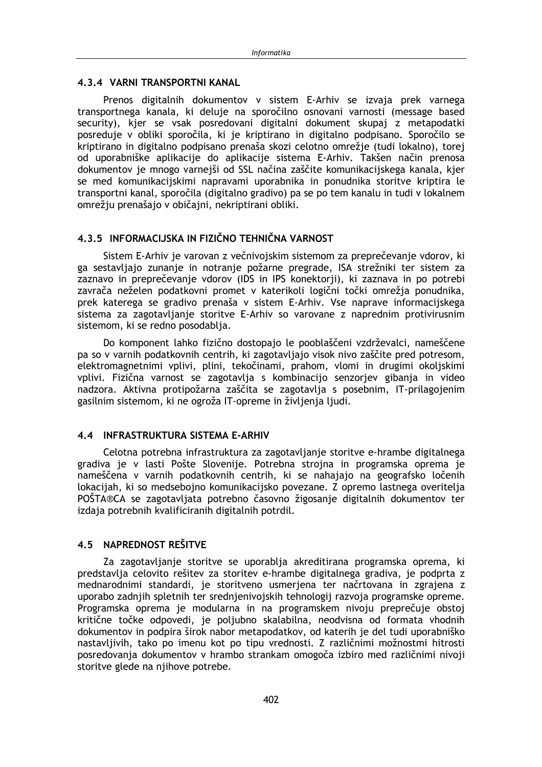#### 4.3.4 VARNI TRANSPORTNI KANAL

Prenos digitalnih dokumentov v sistem E-Arhiv se izvaja prek varnega transportnega kanala, ki deluje na sporočilno osnovani varnosti (message based security), kjer se vsak posredovani digitalni dokument skupaj z metapodatki posreduje v obliki sporočila, ki je kriptirano in digitalno podpisano. Sporočilo se kriptirano in digitalno podpisano prenaša skozi celotno omrežje (tudi lokalno), torej od uporabniške aplikacije do aplikacije sistema E-Arhiv. Takšen način prenosa dokumentov je mnogo varnejši od SSL načina zaščite komunikacijskega kanala, kjer se med komunikacijskimi napravami uporabnika in ponudnika storitve kriptira le transportni kanal, sporočila (digitalno gradivo) pa se po tem kanalu in tudi v lokalnem omrežju prenašajo v običajni, nekriptirani obliki.

## 4.3.5 INFORMACLISKA IN FIZIČNO TEHNIČNA VARNOST

Sistem E-Arhiv je varovan z večnivojskim sistemom za preprečevanje vdorov, ki ga sestavliajo zunanje in notranje požarne pregrade, ISA strežniki ter sistem za zaznavo in preprečevanje vdorov (IDS in IPS konektorji), ki zaznava in po potrebi zavrača neželen podatkovni promet v katerikoli logični točki omrežja ponudnika, prek katerega se gradivo prenaša v sistem E-Arhiv. Vse naprave informacijskega sistema za zagotavljanje storitve E-Arhiv so varovane z naprednim protivirusnim sistemom, ki se redno posodablia.

Do komponent lahko fizično dostopajo le pooblaščeni vzdrževalci, nameščene pa so v varnih podatkovnih centrih, ki zagotavljajo visok nivo zaščite pred potresom, elektromagnetnimi vplivi, plini, tekočinami, prahom, vlomi in drugimi okoliskimi vplivi. Fizična varnost se zagotavlja s kombinacijo senzorjev gibanja in video nadzora. Aktivna protipožarna zaščita se zagotavlja s posebnim, IT-prilagojenim gasilnim sistemom, ki ne ogroža IT-opreme in življenja ljudi.

## 4.4 INFRASTRUKTURA SISTEMA F-ARHIV

Celotna potrebna infrastruktura za zagotavljanje storitve e-hrambe digitalnega gradiva je v lasti Pošte Slovenije. Potrebna strojna in programska oprema je nameščena v varnih podatkovnih centrih, ki se nahajajo na geografsko ločenih lokacijah, ki so medsebojno komunikacijsko povezane. Z opremo lastnega overitelja POŠTA®CA se zagotavljata potrebno časovno žigosanje digitalnih dokumentov ter izdaja potrebnih kvalificiranih digitalnih potrdil.

## 4.5 NAPREDNOST REŠITVE

Za zagotavljanje storitve se uporablja akreditirana programska oprema, ki predstavlja celovito rešitev za storitev e-hrambe digitalnega gradiva, je podprta z mednarodnimi standardi, je storitveno usmerjena ter načrtovana in zgrajena z uporabo zadnjih spletnih ter srednjenivojskih tehnologij razvoja programske opreme. Programska oprema je modularna in na programskem nivoju preprečuje obstoj kritične točke odpovedi, je poljubno skalabilna, neodvisna od formata vhodnih dokumentov in podpira širok nabor metapodatkov, od katerih je del tudi uporabniško nastavljivih, tako po imenu kot po tipu vrednosti. Z različnimi možnostmi hitrosti posredovanja dokumentov v hrambo strankam omogoča izbiro med različnimi nivoji storitve glede na njihove potrebe.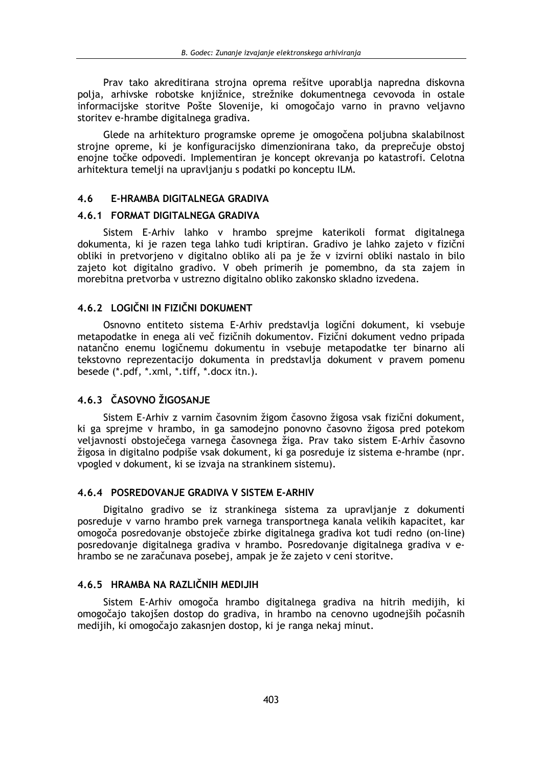Prav tako akreditirana strojna oprema rešitve uporablja napredna diskovna polja, arhivske robotske knjižnice, strežnike dokumentnega cevovoda in ostale informacijske storitve Pošte Slovenije, ki omogočajo varno in pravno veljavno storitev e-hrambe digitalnega gradiva.

Glede na arhitekturo programske opreme je omogočena poljubna skalabilnost strojne opreme, ki je konfiguracijsko dimenzionirana tako, da preprečuje obstoj enojne točke odpovedi. Implementiran je koncept okrevanja po katastrofi. Celotna arhitektura temelji na upravljanju s podatki po konceptu ILM.

#### $4.6$ E-HRAMBA DIGITALNEGA GRADIVA

#### 4.6.1 FORMAT DIGITALNEGA GRADIVA

Sistem E-Arhiv lahko v hrambo sprejme katerikoli format digitalnega dokumenta, ki je razen tega lahko tudi kriptiran. Gradivo je lahko zajeto v fizični obliki in pretvorjeno v digitalno obliko ali pa je že v izvirni obliki nastalo in bilo zajeto kot digitalno gradivo. V obeh primerih je pomembno, da sta zajem in morebitna pretvorba v ustrezno digitalno obliko zakonsko skladno izvedena.

## 4.6.2 LOGIČNI IN FIZIČNI DOKUMENT

Osnovno entiteto sistema E-Arhiv predstavlja logični dokument, ki vsebuje metapodatke in enega ali več fizičnih dokumentov. Fizični dokument vedno pripada natančno enemu logičnemu dokumentu in vsebuje metapodatke ter binarno ali tekstovno reprezentacijo dokumenta in predstavlja dokument v pravem pomenu besede (\*.pdf, \*.xml, \*.tiff, \*.docx itn.).

## 4.6.3 ČASOVNO ŽIGOSANJE

Sistem E-Arhiv z varnim časovnim žigom časovno žigosa vsak fizični dokument, ki ga sprejme v hrambo, in ga samodejno ponovno časovno žigosa pred potekom veljavnosti obstoječega varnega časovnega žiga. Prav tako sistem E-Arhiv časovno žigosa in digitalno podpiše vsak dokument, ki ga posreduje iz sistema e-hrambe (npr. vpogled v dokument, ki se izvaja na strankinem sistemu).

### 4.6.4 POSREDOVANJE GRADIVA V SISTEM E-ARHIV

Digitalno gradivo se iz strankinega sistema za upravljanje z dokumenti posreduje v varno hrambo prek varnega transportnega kanala velikih kapacitet, kar omogoča posredovanje obstoječe zbirke digitalnega gradiva kot tudi redno (on-line) posredovanje digitalnega gradiva v hrambo. Posredovanje digitalnega gradiva v ehrambo se ne zaračunava posebej, ampak je že zajeto v ceni storitve.

## 4.6.5 HRAMBA NA RAZLIČNIH MEDIJIH

Sistem E-Arhiv omogoča hrambo digitalnega gradiva na hitrih medijih, ki omogočajo takojšen dostop do gradiva, in hrambo na cenovno ugodnejših počasnih medijih, ki omogočajo zakasnjen dostop, ki je ranga nekaj minut.